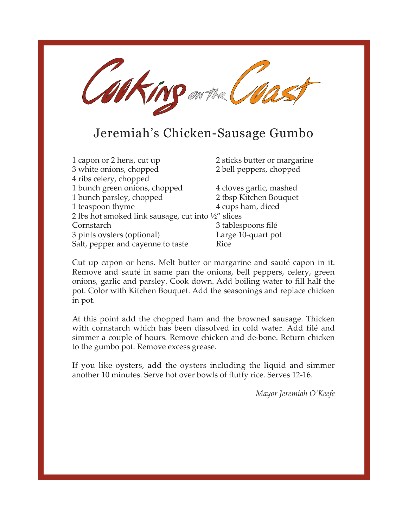## Jeremiah's Chicken-Sausage Gumbo

| 1 capon or 2 hens, cut up                           | 2 sticks butter or margarine |
|-----------------------------------------------------|------------------------------|
| 3 white onions, chopped                             | 2 bell peppers, chopped      |
| 4 ribs celery, chopped                              |                              |
| 1 bunch green onions, chopped                       | 4 cloves garlic, mashed      |
| 1 bunch parsley, chopped                            | 2 tbsp Kitchen Bouquet       |
| 1 teaspoon thyme                                    | 4 cups ham, diced            |
| 2 lbs hot smoked link sausage, cut into 1/2" slices |                              |
| Cornstarch                                          | 3 tablespoons filé           |
| 3 pints oysters (optional)                          | Large 10-quart pot           |
| Salt, pepper and cayenne to taste                   | Rice                         |

Cut up capon or hens. Melt butter or margarine and sauté capon in it. Remove and sauté in same pan the onions, bell peppers, celery, green onions, garlic and parsley. Cook down. Add boiling water to fill half the pot. Color with Kitchen Bouquet. Add the seasonings and replace chicken in pot.

At this point add the chopped ham and the browned sausage. Thicken with cornstarch which has been dissolved in cold water. Add filé and simmer a couple of hours. Remove chicken and de-bone. Return chicken to the gumbo pot. Remove excess grease.

If you like oysters, add the oysters including the liquid and simmer another 10 minutes. Serve hot over bowls of fluffy rice. Serves 12-16.

*Mayor Jeremiah O'Keefe*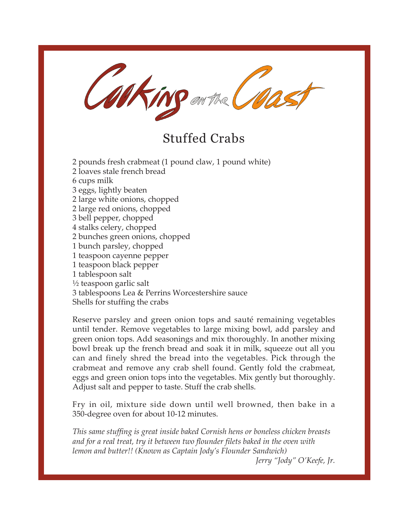## Stuffed Crabs

2 pounds fresh crabmeat (1 pound claw, 1 pound white) 2 loaves stale french bread 6 cups milk 3 eggs, lightly beaten 2 large white onions, chopped 2 large red onions, chopped 3 bell pepper, chopped 4 stalks celery, chopped 2 bunches green onions, chopped 1 bunch parsley, chopped 1 teaspoon cayenne pepper 1 teaspoon black pepper 1 tablespoon salt  $\frac{1}{2}$  teaspoon garlic salt 3 tablespoons Lea & Perrins Worcestershire sauce Shells for stuffing the crabs

Reserve parsley and green onion tops and sauté remaining vegetables until tender. Remove vegetables to large mixing bowl, add parsley and green onion tops. Add seasonings and mix thoroughly. In another mixing bowl break up the french bread and soak it in milk, squeeze out all you can and finely shred the bread into the vegetables. Pick through the crabmeat and remove any crab shell found. Gently fold the crabmeat, eggs and green onion tops into the vegetables. Mix gently but thoroughly. Adjust salt and pepper to taste. Stuff the crab shells.

Fry in oil, mixture side down until well browned, then bake in a 350-degree oven for about 10-12 minutes.

*This same stuffing is great inside baked Cornish hens or boneless chicken breasts and for a real treat, try it between two flounder filets baked in the oven with lemon and butter!! (Known as Captain Jody's Flounder Sandwich)* 

*Jerry "Jody" O'Keefe, Jr.*